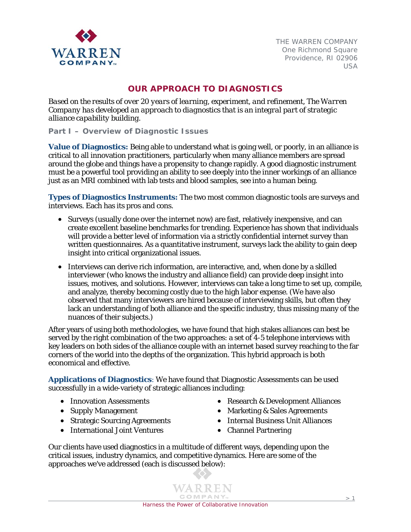

# **OUR APPROACH TO DIAGNOSTICS**

*Based on the results of over 20 years of learning, experiment, and refinement, The Warren Company has developed an approach to diagnostics that is an integral part of strategic alliance capability building.* 

**Part I – Overview of Diagnostic Issues** 

**Value of Diagnostics:** Being able to understand what is going well, or poorly, in an alliance is critical to all innovation practitioners, particularly when many alliance members are spread around the globe and things have a propensity to change rapidly. A good diagnostic instrument must be a powerful tool providing an ability to see deeply into the inner workings of an alliance just as an MRI combined with lab tests and blood samples, see into a human being.

**Types of Diagnostics Instruments:** The two most common diagnostic tools are surveys and interviews. Each has its pros and cons.

- Surveys (usually done over the internet now) are fast, relatively inexpensive, and can create excellent baseline benchmarks for trending. Experience has shown that individuals will provide a better level of information via a strictly confidential internet survey than written questionnaires. As a quantitative instrument, surveys lack the ability to gain deep insight into critical organizational issues.
- Interviews can derive rich information, are interactive, and, when done by a skilled interviewer (who knows the industry and alliance field) can provide deep insight into issues, motives, and solutions. However, interviews can take a long time to set up, compile, and analyze, thereby becoming costly due to the high labor expense. (We have also observed that many interviewers are hired because of interviewing skills, but often they lack an understanding of both alliance and the specific industry, thus missing many of the nuances of their subjects.)

After years of using both methodologies, we have found that high stakes alliances can best be served by the right combination of the two approaches: a set of 4-5 telephone interviews with key leaders on both sides of the alliance couple with an internet based survey reaching to the far corners of the world into the depths of the organization. This hybrid approach is both economical and effective.

**Applications of Diagnostics**: We have found that Diagnostic Assessments can be used successfully in a wide-variety of strategic alliances including:

- Innovation Assessments
- Supply Management
- Strategic Sourcing Agreements
- International Joint Ventures
- Research & Development Alliances
- Marketing & Sales Agreements
- Internal Business Unit Alliances
- Channel Partnering

Our clients have used diagnostics in a multitude of different ways, depending upon the critical issues, industry dynamics, and competitive dynamics. Here are some of the approaches we've addressed (each is discussed below):

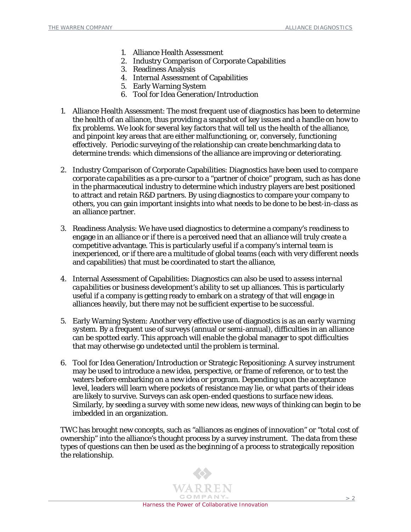- 1. Alliance Health Assessment
- 2. Industry Comparison of Corporate Capabilities
- 3. Readiness Analysis
- 4. Internal Assessment of Capabilities
- 5. Early Warning System
- 6. Tool for Idea Generation/Introduction
- 1. Alliance Health Assessment: The most frequent use of diagnostics has been to determine the *health* of an alliance, thus providing a snapshot of key issues and a handle on how to fix problems. We look for several key factors that will tell us the health of the alliance, and pinpoint key areas that are either malfunctioning, or, conversely, functioning effectively. Periodic surveying of the relationship can create benchmarking data to determine *trends*: which dimensions of the alliance are improving or deteriorating.
- 2. Industry Comparison of Corporate Capabilities: Diagnostics have been used to *compare corporate capabilities* as a pre-cursor to a "partner of choice" program, such as has done in the pharmaceutical industry to determine which industry players are best positioned to attract and retain R&D partners. By using diagnostics to compare your company to others, you can gain important insights into what needs to be done to be best-in-class as an alliance partner.
- 3. Readiness Analysis: We have used diagnostics to determine a company's *readiness* to engage in an alliance or if there is a perceived need that an alliance will truly create a competitive advantage. This is particularly useful if a company's internal team is inexperienced, or if there are a multitude of global teams (each with very different needs and capabilities) that must be coordinated to start the alliance,
- 4. Internal Assessment of Capabilities: Diagnostics can also be used to *assess internal capabilities* or business development's ability to set up alliances. This is particularly useful if a company is getting ready to embark on a strategy of that will engage in alliances heavily, but there may not be sufficient expertise to be successful.
- 5. Early Warning System: Another very effective use of diagnostics is as an *early warning system*. By a frequent use of surveys (annual or semi-annual), difficulties in an alliance can be spotted early. This approach will enable the global manager to spot difficulties that may otherwise go undetected until the problem is terminal.
- 6. Tool for Idea Generation/Introduction or Strategic Repositioning: A survey instrument may be used to introduce a new idea, perspective, or frame of reference, or to test the waters before embarking on a new idea or program. Depending upon the acceptance level, leaders will learn where pockets of resistance may lie, or what parts of their ideas are likely to survive. Surveys can ask open-ended questions to surface new ideas. Similarly, by seeding a survey with some new ideas, new ways of thinking can begin to be imbedded in an organization.

TWC has brought new concepts, such as "alliances as engines of innovation" or "total cost of ownership" into the alliance's thought process by a survey instrument. The data from these types of questions can then be used as the beginning of a process to strategically reposition the relationship.

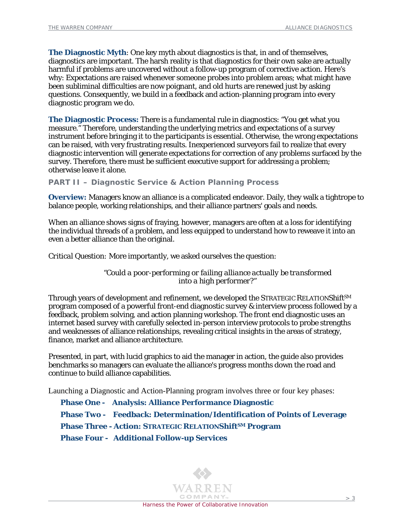**The Diagnostic Myth**: One key myth about diagnostics is that, in and of themselves, diagnostics are important. The harsh reality is that diagnostics for their own sake are actually harmful if problems are uncovered without a follow-up program of corrective action. Here's why: Expectations are raised whenever someone probes into problem areas; what might have been subliminal difficulties are now poignant, and old hurts are renewed just by asking questions. Consequently, we build in a feedback and action-planning program into every diagnostic program we do.

**The Diagnostic Process:** There is a fundamental rule in diagnostics: "You get what you measure." Therefore, understanding the underlying metrics and expectations of a survey instrument before bringing it to the participants is essential. Otherwise, the wrong expectations can be raised, with very frustrating results. Inexperienced surveyors fail to realize that every diagnostic intervention will generate expectations for correction of any problems surfaced by the survey. Therefore, there must be sufficient executive support for addressing a problem; otherwise leave it alone.

**PART II – Diagnostic Service & Action Planning Process** 

**Overview:** Managers know an alliance is a complicated endeavor. Daily, they walk a tightrope to balance people, working relationships, and their alliance partners' goals and needs.

When an alliance shows signs of fraying, however, managers are often at a loss for identifying the individual threads of a problem, and less equipped to understand how to reweave it into an even a better alliance than the original.

*Critical Question:* More importantly, we asked ourselves the question:

*"Could a poor-performing or failing alliance actually be transformed into a high performer?"* 

Through years of development and refinement, we developed the STRATEGIC RELATION*ShiftSM* program composed of a powerful front-end diagnostic survey & interview process followed by a feedback, problem solving, and action planning workshop. The front end diagnostic uses an internet based survey with carefully selected in-person interview protocols to probe strengths and weaknesses of alliance relationships, revealing critical insights in the areas of strategy, finance, market and alliance architecture.

Presented, in part, with lucid graphics to aid the manager in action, the guide also provides benchmarks so managers can evaluate the alliance's progress months down the road and continue to build alliance capabilities.

Launching a Diagnostic and Action-Planning program involves three or four key phases:

**Phase One - Analysis: Alliance Performance Diagnostic Phase Two - Feedback: Determination/Identification of Points of Leverage Phase Three - Action: STRATEGIC RELATION***ShiftSM* **Program Phase Four - Additional Follow-up Services** 

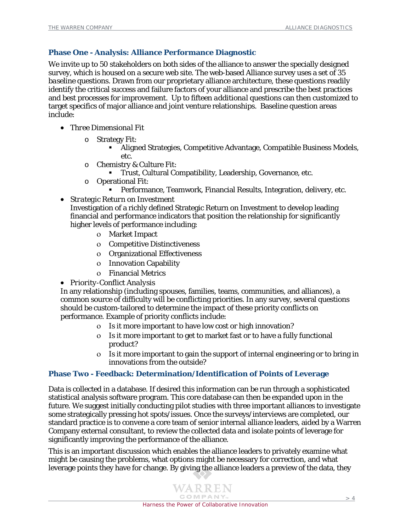## **Phase One - Analysis: Alliance Performance Diagnostic**

We invite up to 50 stakeholders on *both sides* of the alliance to answer the specially designed survey, which is housed on a secure web site. The web-based Alliance survey uses a set of 35 *baseline* questions. Drawn from our proprietary alliance architecture, these questions readily identify the critical success and failure factors of your alliance and prescribe the best practices and best processes for improvement. Up to fifteen *additional* questions can then customized to target specifics of major alliance and joint venture relationships. Baseline question areas include:

- *Three Dimensional Fit* 
	- o Strategy Fit:
		- Aligned Strategies, Competitive Advantage, Compatible Business Models, etc.
	- o Chemistry & Culture Fit:
		- Trust, Cultural Compatibility, Leadership, Governance, etc.
	- o Operational Fit:
		- Performance, Teamwork, Financial Results, Integration, delivery, etc.
- *Strategic Return on Investment*

Investigation of a richly defined Strategic Return on Investment to develop leading financial and performance indicators that position the relationship for significantly higher levels of performance including:

- ο Market Impact
- ο Competitive Distinctiveness
- ο Organizational Effectiveness
- ο Innovation Capability
- ο Financial Metrics
- *Priority-Conflict Analysis*

In any relationship (including spouses, families, teams, communities, and alliances), a common source of difficulty will be conflicting priorities. In any survey, several questions should be custom-tailored to determine the impact of these priority conflicts on performance. Example of priority conflicts include:

- ο Is it more important to have low cost or high innovation?
- ο Is it more important to get to market fast or to have a fully functional product?
- ο Is it more important to gain the support of internal engineering or to bring in innovations from the outside?

## **Phase Two - Feedback: Determination/Identification of Points of Leverage**

Data is collected in a database. If desired this information can be run through a sophisticated statistical analysis software program. This core database can then be expanded upon in the future. We suggest initially conducting pilot studies with three important alliances to investigate some strategically pressing hot spots/issues. Once the surveys/interviews are completed, our standard practice is to convene a core team of senior internal alliance leaders, aided by a Warren Company external consultant, to review the collected data and isolate points of leverage for significantly improving the performance of the alliance.

This is an important discussion which enables the alliance leaders to privately examine what might be causing the problems, what options might be necessary for correction, and what leverage points they have for change. By giving the alliance leaders a preview of the data, they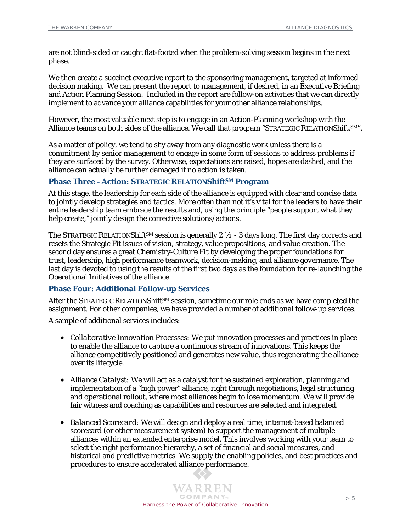are not blind-sided or caught flat-footed when the problem-solving session begins in the next phase.

We then create a succinct executive report to the sponsoring management, targeted at informed decision making. We can present the report to management, if desired, in an Executive Briefing and Action Planning Session. Included in the report are follow-on activities that we can directly implement to advance your alliance capabilities for your other alliance relationships.

However, the most valuable next step is to engage in an Action-Planning workshop with the Alliance teams on both sides of the alliance. We call that program "STRATEGIC RELATION*Shift.SM*".

As a matter of policy, we tend to shy away from any diagnostic work unless there is a commitment by senior management to engage in some form of sessions to address problems if they are surfaced by the survey. Otherwise, expectations are raised, hopes are dashed, and the alliance can actually be further damaged if no action is taken.

#### **Phase Three - Action: STRATEGIC RELATION***ShiftSM* **Program**

At this stage, the leadership for each side of the alliance is equipped with clear and concise data to jointly develop strategies and tactics. More often than not it's vital for the leaders to have their entire leadership team embrace the results and, using the principle "people support what they help create," jointly design the corrective solutions/actions.

The STRATEGIC RELATION*ShiftSM* session is generally 2 ½ - 3 days long. The first day corrects and resets the Strategic Fit issues of vision, strategy, value propositions, and value creation. The second day ensures a great Chemistry-Culture Fit by developing the proper foundations for trust, leadership, high performance teamwork, decision-making, and alliance governance. The last day is devoted to using the results of the first two days as the foundation for re-launching the Operational Initiatives of the alliance.

#### **Phase Four: Additional Follow-up Services**

After the STRATEGIC RELATION*ShiftSM* session, sometime our role ends as we have completed the assignment. For other companies, we have provided a number of additional follow-up services.

A sample of additional services includes:

- *Collaborative Innovation Processes:* We put innovation processes and practices in place to enable the alliance to capture a continuous stream of innovations. This keeps the alliance competitively positioned and generates new value, thus regenerating the alliance over its lifecycle.
- *Alliance Catalyst:* We will act as a catalyst for the sustained exploration, planning and implementation of a "high power" alliance, right through negotiations, legal structuring and operational rollout, where most alliances begin to lose momentum. We will provide fair witness and coaching as capabilities and resources are selected and integrated.
- *Balanced Scorecard:* We will design and deploy a real time, internet-based balanced scorecard (or other measurement system) to support the management of multiple alliances within an extended enterprise model. This involves working with your team to select the right performance hierarchy, a set of financial and social measures, and historical and predictive metrics. We supply the enabling policies, and best practices and procedures to ensure accelerated alliance performance.

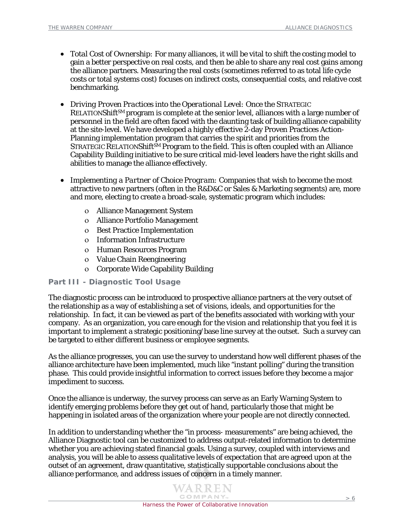- *Total Cost of Ownership:* For many alliances, it will be vital to shift the costing model to gain a better perspective on real costs, and then be able to share any real cost gains among the alliance partners. Measuring the real costs (sometimes referred to as total life cycle costs or total systems cost) focuses on indirect costs, consequential costs, and relative cost benchmarking.
- *Driving Proven Practices into the Operational Level:* Once the STRATEGIC RELATION*ShiftSM* program is complete at the senior level, alliances with a large number of personnel in the field are often faced with the daunting task of building alliance capability at the site-level. We have developed a highly effective 2-day Proven Practices Action-Planning implementation program that carries the spirit and priorities from the STRATEGIC RELATION*Shift*SM Program to the field. This is often coupled with an Alliance Capability Building initiative to be sure critical mid-level leaders have the right skills and abilities to manage the alliance effectively.
- *Implementing a Partner of Choice Program:* Companies that wish to become the most attractive to new partners (often in the R&D&C or Sales & Marketing segments) are, more and more, electing to create a broad-scale, systematic program which includes:
	- ο Alliance Management System
	- ο Alliance Portfolio Management
	- ο Best Practice Implementation
	- ο Information Infrastructure
	- ο Human Resources Program
	- ο Value Chain Reengineering
	- ο Corporate Wide Capability Building

## **Part III - Diagnostic Tool Usage**

The diagnostic process can be introduced to prospective alliance partners at the very outset of the relationship as a way of establishing a set of visions, ideals, and opportunities for the relationship. In fact, it can be viewed as part of the benefits associated with working with your company. As an organization, you care enough for the vision and relationship that you feel it is important to implement a strategic positioning/base line survey at the outset. Such a survey can be targeted to either different business or employee segments.

As the alliance progresses, you can use the survey to understand how well different phases of the alliance architecture have been implemented, much like "instant polling" during the transition phase. This could provide insightful information to correct issues before they become a major impediment to success.

Once the alliance is underway, the survey process can serve as an Early Warning System to identify emerging problems before they get out of hand, particularly those that might be happening in isolated areas of the organization where your people are not directly connected.

In addition to understanding whether the "in process- measurements" are being achieved, the Alliance Diagnostic tool can be customized to address output-related information to determine whether you are achieving stated financial goals. Using a survey, coupled with interviews and analysis, you will be able to assess qualitative levels of expectation that are agreed upon at the outset of an agreement, draw quantitative, statistically supportable *conclusions* about the alliance performance, and address issues of concern in a timely manner.